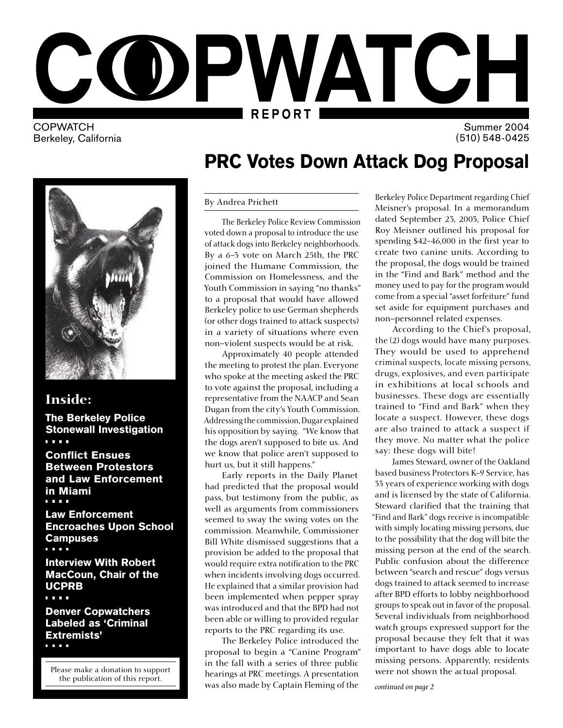

**COPWATCH** Berkeley, California

Summer 2004 (510) 548-0425

### Inside:

The Berkeley Police Stonewall Investigation a a she

Conflict Ensues Between Protestors and Law Enforcement in Miami

Law Enforcement Encroaches Upon School Campuses<br>....

Interview With Robert MacCoun, Chair of the UCPRB<br>....

Denver Copwatchers Labeled as 'Criminal Extremists'<br>
....

Please make a donation to support the publication of this report.

# PRC Votes Down Attack Dog Proposal

#### By Andrea Prichett

 The Berkeley Police Review Commission voted down a proposal to introduce the use of attack dogs into Berkeley neighborhoods. By a 6-3 vote on March 25th, the PRC joined the Humane Commission, the Commission on Homelessness, and the Youth Commission in saying "no thanks" to a proposal that would have allowed Berkeley police to use German shepherds (or other dogs trained to attack suspects) in a variety of situations where even non–violent suspects would be at risk.

 Approximately 40 people attended the meeting to protest the plan. Everyone who spoke at the meeting asked the PRC to vote against the proposal, including a representative from the NAACP and Sean Dugan from the city's Youth Commission. Addressing the commission, Dugar explained his opposition by saying. "We know that the dogs aren't supposed to bite us. And we know that police aren't supposed to hurt us, but it still happens."

 Early reports in the Daily Planet had predicted that the proposal would pass, but testimony from the public, as well as arguments from commissioners seemed to sway the swing votes on the commission. Meanwhile, Commissioner Bill White dismissed suggestions that a provision be added to the proposal that would require extra notification to the PRC when incidents involving dogs occurred. He explained that a similar provision had been implemented when pepper spray was introduced and that the BPD had not been able or willing to provided regular reports to the PRC regarding its use.

 The Berkeley Police introduced the proposal to begin a "Canine Program" in the fall with a series of three public hearings at PRC meetings. A presentation was also made by Captain Fleming of the

Berkeley Police Department regarding Chief Meisner's proposal. In a memorandum dated September 23, 2003, Police Chief Roy Meisner outlined his proposal for spending \$42-46,000 in the first year to create two canine units. According to the proposal, the dogs would be trained in the "Find and Bark" method and the money used to pay for the program would come from a special "asset forfeiture" fund set aside for equipment purchases and non–personnel related expenses.

 According to the Chief's proposal, the (2) dogs would have many purposes. They would be used to apprehend criminal suspects, locate missing persons, drugs, explosives, and even participate in exhibitions at local schools and businesses. These dogs are essentially trained to "Find and Bark" when they locate a suspect. However, these dogs are also trained to attack a suspect if they move. No matter what the police say: these dogs will bite!

 James Steward, owner of the Oakland based business Protectors K-9 Service, has 33 years of experience working with dogs and is licensed by the state of California. Steward clarified that the training that "Find and Bark" dogs receive is incompatible with simply locating missing persons, due to the possibility that the dog will bite the missing person at the end of the search. Public confusion about the difference between "search and rescue" dogs versus dogs trained to attack seemed to increase after BPD efforts to lobby neighborhood groups to speak out in favor of the proposal. Several individuals from neighborhood watch groups expressed support for the proposal because they felt that it was important to have dogs able to locate missing persons. Apparently, residents were not shown the actual proposal.

*continued on page 2*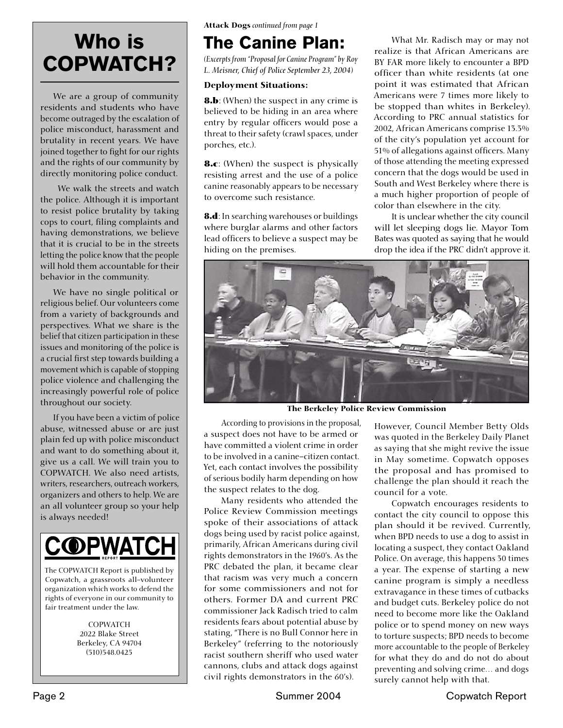# Who is COPWATCH?

 We are a group of community residents and students who have become outraged by the escalation of police misconduct, harassment and brutality in recent years. We have joined together to fight for our rights and the rights of our community by directly monitoring police conduct.

 We walk the streets and watch the police. Although it is important to resist police brutality by taking cops to court, filing complaints and having demonstrations, we believe that it is crucial to be in the streets letting the police know that the people will hold them accountable for their behavior in the community.

 We have no single political or religious belief. Our volunteers come from a variety of backgrounds and perspectives. What we share is the belief that citizen participation in these issues and monitoring of the police is a crucial first step towards building a movement which is capable of stopping police violence and challenging the increasingly powerful role of police throughout our society.

 If you have been a victim of police abuse, witnessed abuse or are just plain fed up with police misconduct and want to do something about it, give us a call. We will train you to COPWATCH. We also need artists, writers, researchers, outreach workers, organizers and others to help. We are an all volunteer group so your help is always needed!



The COPWATCH Report is published by Copwatch, a grassroots all-volunteer organization which works to defend the rights of everyone in our community to fair treatment under the law.

> **COPWATCH** 2022 Blake Street Berkeley, CA 94704 (510)548.0425

Attack Dogs *continued from page 1*

# The Canine Plan:

*(Excerpts from "Proposal for Canine Program" by Roy L. Meisner, Chief of Police September 23, 2004)*

#### Deployment Situations:

**8.b**: (When) the suspect in any crime is believed to be hiding in an area where entry by regular officers would pose a threat to their safety (crawl spaces, under porches, etc.).

**8.c**: (When) the suspect is physically resisting arrest and the use of a police canine reasonably appears to be necessary to overcome such resistance.

**8.d**: In searching warehouses or buildings where burglar alarms and other factors lead officers to believe a suspect may be hiding on the premises.

 What Mr. Radisch may or may not realize is that African Americans are BY FAR more likely to encounter a BPD officer than white residents (at one point it was estimated that African Americans were 7 times more likely to be stopped than whites in Berkeley). According to PRC annual statistics for 2002, African Americans comprise 13.3% of the city's population yet account for 51% of allegations against officers. Many of those attending the meeting expressed concern that the dogs would be used in South and West Berkeley where there is a much higher proportion of people of color than elsewhere in the city.

 It is unclear whether the city council will let sleeping dogs lie. Mayor Tom Bates was quoted as saying that he would drop the idea if the PRC didn't approve it.



The Berkeley Police Review Commission

 According to provisions in the proposal, a suspect does not have to be armed or have committed a violent crime in order to be involved in a canine–citizen contact. Yet, each contact involves the possibility of serious bodily harm depending on how the suspect relates to the dog.

 Many residents who attended the Police Review Commission meetings spoke of their associations of attack dogs being used by racist police against, primarily, African Americans during civil rights demonstrators in the 1960's. As the PRC debated the plan, it became clear that racism was very much a concern for some commissioners and not for others. Former DA and current PRC commissioner Jack Radisch tried to calm residents fears about potential abuse by stating, "There is no Bull Connor here in Berkeley" (referring to the notoriously racist southern sheriff who used water cannons, clubs and attack dogs against civil rights demonstrators in the 60's).

However, Council Member Betty Olds was quoted in the Berkeley Daily Planet as saying that she might revive the issue in May sometime. Copwatch opposes the proposal and has promised to challenge the plan should it reach the council for a vote.

 Copwatch encourages residents to contact the city council to oppose this plan should it be revived. Currently, when BPD needs to use a dog to assist in locating a suspect, they contact Oakland Police. On average, this happens 30 times a year. The expense of starting a new canine program is simply a needless extravagance in these times of cutbacks and budget cuts. Berkeley police do not need to become more like the Oakland police or to spend money on new ways to torture suspects; BPD needs to become more accountable to the people of Berkeley for what they do and do not do about preventing and solving crime… and dogs surely cannot help with that.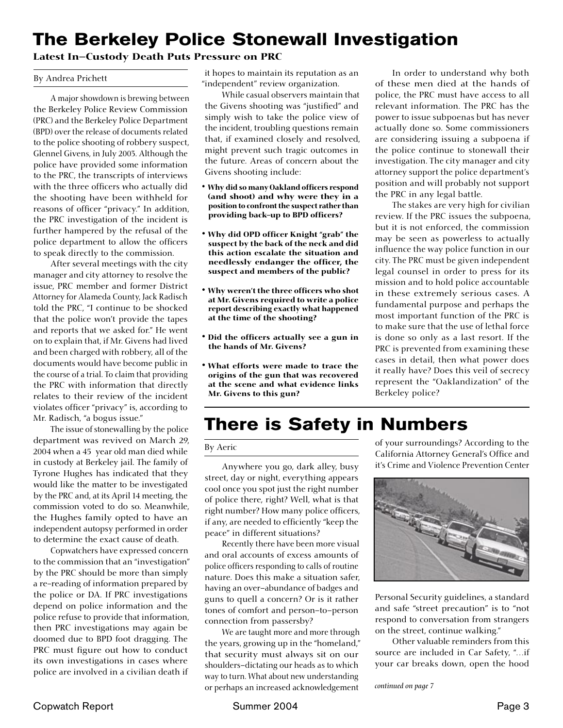### The Berkeley Police Stonewall Investigation

#### Latest In–Custody Death Puts Pressure on PRC

#### By Andrea Prichett

 A major showdown is brewing between the Berkeley Police Review Commission (PRC) and the Berkeley Police Department (BPD) over the release of documents related to the police shooting of robbery suspect, Glennel Givens, in July 2003. Although the police have provided some information to the PRC, the transcripts of interviews with the three officers who actually did the shooting have been withheld for reasons of officer "privacy." In addition, the PRC investigation of the incident is further hampered by the refusal of the police department to allow the officers to speak directly to the commission.

 After several meetings with the city manager and city attorney to resolve the issue, PRC member and former District Attorney for Alameda County, Jack Radisch told the PRC, "I continue to be shocked that the police won't provide the tapes and reports that we asked for." He went on to explain that, if Mr. Givens had lived and been charged with robbery, all of the documents would have become public in the course of a trial. To claim that providing the PRC with information that directly relates to their review of the incident violates officer "privacy" is, according to Mr. Radisch, "a bogus issue."

 The issue of stonewalling by the police department was revived on March 29, 2004 when a 45 year old man died while in custody at Berkeley jail. The family of Tyrone Hughes has indicated that they would like the matter to be investigated by the PRC and, at its April 14 meeting, the commission voted to do so. Meanwhile, the Hughes family opted to have an independent autopsy performed in order to determine the exact cause of death.

 Copwatchers have expressed concern to the commission that an "investigation" by the PRC should be more than simply a re-reading of information prepared by the police or DA. If PRC investigations depend on police information and the police refuse to provide that information, then PRC investigations may again be doomed due to BPD foot dragging. The PRC must figure out how to conduct its own investigations in cases where police are involved in a civilian death if

it hopes to maintain its reputation as an "independent" review organization.

 While casual observers maintain that the Givens shooting was "justified" and simply wish to take the police view of the incident, troubling questions remain that, if examined closely and resolved, might prevent such tragic outcomes in the future. Areas of concern about the Givens shooting include:

- Why did so many Oakland officers respond (and shoot) and why were they in a position to confront the suspect rather than providing back-up to BPD officers?
- Why did OPD officer Knight "grab" the suspect by the back of the neck and did this action escalate the situation and needlessly endanger the officer, the suspect and members of the public?
- Why weren't the three officers who shot at Mr. Givens required to write a police report describing exactly what happened at the time of the shooting?
- Did the officers actually see a gun in the hands of Mr. Givens?
- What efforts were made to trace the origins of the gun that was recovered at the scene and what evidence links Mr. Givens to this gun?

 In order to understand why both of these men died at the hands of police, the PRC must have access to all relevant information. The PRC has the power to issue subpoenas but has never actually done so. Some commissioners are considering issuing a subpoena if the police continue to stonewall their investigation. The city manager and city attorney support the police department's position and will probably not support the PRC in any legal battle.

 The stakes are very high for civilian review. If the PRC issues the subpoena, but it is not enforced, the commission may be seen as powerless to actually influence the way police function in our city. The PRC must be given independent legal counsel in order to press for its mission and to hold police accountable in these extremely serious cases. A fundamental purpose and perhaps the most important function of the PRC is to make sure that the use of lethal force is done so only as a last resort. If the PRC is prevented from examining these cases in detail, then what power does it really have? Does this veil of secrecy represent the "Oaklandization" of the Berkeley police?

### There is Safety in Numbers

#### By Aeric

 Anywhere you go, dark alley, busy street, day or night, everything appears cool once you spot just the right number of police there, right? Well, what is that right number? How many police officers, if any, are needed to efficiently "keep the peace" in different situations?

 Recently there have been more visual and oral accounts of excess amounts of police officers responding to calls of routine nature. Does this make a situation safer, having an over–abundance of badges and guns to quell a concern? Or is it rather tones of comfort and person–to–person connection from passersby?

 We are taught more and more through the years, growing up in the "homeland," that security must always sit on our shoulders–dictating our heads as to which way to turn. What about new understanding or perhaps an increased acknowledgement

of your surroundings? According to the California Attorney General's Office and it's Crime and Violence Prevention Center



Personal Security guidelines, a standard and safe "street precaution" is to "not respond to conversation from strangers on the street, continue walking."

 Other valuable reminders from this source are included in Car Safety, "…if your car breaks down, open the hood

*continued on page 7*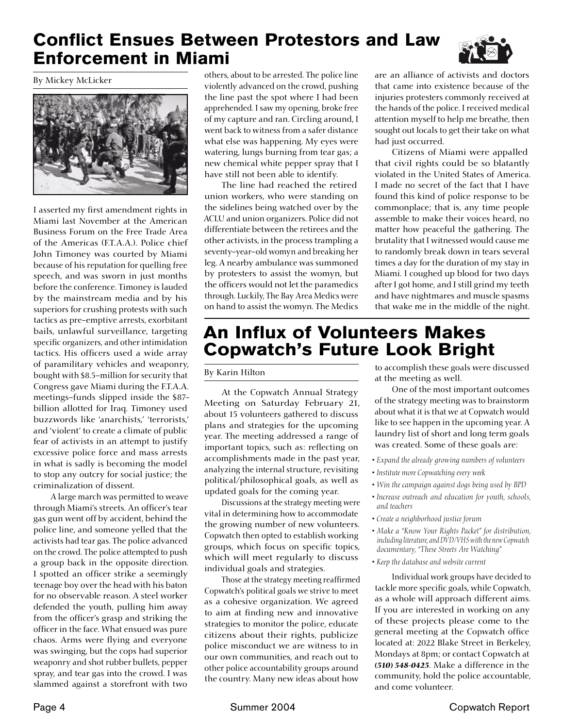### Conflict Ensues Between Protestors and Law Enforcement in Miami



By Mickey McLicker



I asserted my first amendment rights in Miami last November at the American Business Forum on the Free Trade Area of the Americas (F.T.A.A.). Police chief John Timoney was courted by Miami because of his reputation for quelling free speech, and was sworn in just months before the conference. Timoney is lauded by the mainstream media and by his superiors for crushing protests with such tactics as pre-emptive arrests, exorbitant bails, unlawful surveillance, targeting specific organizers, and other intimidation tactics. His officers used a wide array of paramilitary vehicles and weaponry, bought with \$8.5–million for security that Congress gave Miami during the F.T.A.A. meetings–funds slipped inside the \$87 billion allotted for Iraq. Timoney used buzzwords like 'anarchists,' 'terrorists,' and 'violent' to create a climate of public fear of activists in an attempt to justify excessive police force and mass arrests in what is sadly is becoming the model to stop any outcry for social justice; the criminalization of dissent.

 A large march was permitted to weave through Miami's streets. An officer's tear gas gun went off by accident, behind the police line, and someone yelled that the activists had tear gas. The police advanced on the crowd. The police attempted to push a group back in the opposite direction. I spotted an officer strike a seemingly teenage boy over the head with his baton for no observable reason. A steel worker defended the youth, pulling him away from the officer's grasp and striking the officer in the face. What ensued was pure chaos. Arms were flying and everyone was swinging, but the cops had superior weaponry and shot rubber bullets, pepper spray, and tear gas into the crowd. I was slammed against a storefront with two

others, about to be arrested. The police line violently advanced on the crowd, pushing the line past the spot where I had been apprehended. I saw my opening, broke free of my capture and ran. Circling around, I went back to witness from a safer distance what else was happening. My eyes were watering, lungs burning from tear gas; a new chemical white pepper spray that I have still not been able to identify.

 The line had reached the retired union workers, who were standing on the sidelines being watched over by the ACLU and union organizers. Police did not differentiate between the retirees and the other activists, in the process trampling a seventy–year–old womyn and breaking her leg. A nearby ambulance was summoned by protesters to assist the womyn, but the officers would not let the paramedics through. Luckily, The Bay Area Medics were on hand to assist the womyn. The Medics are an alliance of activists and doctors that came into existence because of the injuries protesters commonly received at the hands of the police. I received medical attention myself to help me breathe, then sought out locals to get their take on what had just occurred.

 Citizens of Miami were appalled that civil rights could be so blatantly violated in the United States of America. I made no secret of the fact that I have found this kind of police response to be commonplace; that is, any time people assemble to make their voices heard, no matter how peaceful the gathering. The brutality that I witnessed would cause me to randomly break down in tears several times a day for the duration of my stay in Miami. I coughed up blood for two days after I got home, and I still grind my teeth and have nightmares and muscle spasms that wake me in the middle of the night.

### An Influx of Volunteers Makes Copwatch's Future Look Bright

#### By Karin Hilton

 At the Copwatch Annual Strategy Meeting on Saturday February 21, about 15 volunteers gathered to discuss plans and strategies for the upcoming year. The meeting addressed a range of important topics, such as: reflecting on accomplishments made in the past year, analyzing the internal structure, revisiting political/philosophical goals, as well as updated goals for the coming year.

 Discussions at the strategy meeting were vital in determining how to accommodate the growing number of new volunteers. Copwatch then opted to establish working groups, which focus on specific topics, which will meet regularly to discuss individual goals and strategies.

 Those at the strategy meeting reaffirmed Copwatch's political goals we strive to meet as a cohesive organization. We agreed to aim at finding new and innovative strategies to monitor the police, educate citizens about their rights, publicize police misconduct we are witness to in our own communities, and reach out to other police accountability groups around the country. Many new ideas about how to accomplish these goals were discussed at the meeting as well.

 One of the most important outcomes of the strategy meeting was to brainstorm about what it is that we at Copwatch would like to see happen in the upcoming year. A laundry list of short and long term goals was created. Some of these goals are:

- *Expand the already growing numbers of volunteers*
- *Institute more Copwatching every week*
- *Win the campaign against dogs being used by BPD*
- *Increase outreach and education for youth, schools, and teachers*
- *Create a neighborhood justice forum*
- *Make a "Know Your Rights Packet" for distribution, including literature, and DVD/VHS with the new Copwatch documentary, "These Streets Are Watching"*
- *Keep the database and website current*

 Individual work groups have decided to tackle more specific goals, while Copwatch, as a whole will approach different aims. If you are interested in working on any of these projects please come to the general meeting at the Copwatch office located at: 2022 Blake Street in Berkeley, Mondays at 8pm; or contact Copwatch at *(510) 548-0425*. Make a difference in the community, hold the police accountable, and come volunteer.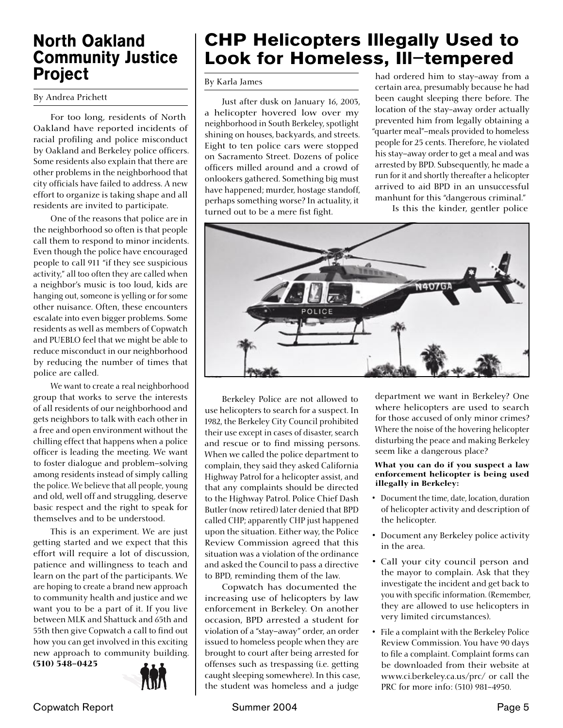### North Oakland Community Justice Project

By Andrea Prichett

 For too long, residents of North Oakland have reported incidents of racial profiling and police misconduct by Oakland and Berkeley police officers. Some residents also explain that there are other problems in the neighborhood that city officials have failed to address. A new effort to organize is taking shape and all residents are invited to participate.

 One of the reasons that police are in the neighborhood so often is that people call them to respond to minor incidents. Even though the police have encouraged people to call 911 "if they see suspicious activity," all too often they are called when a neighbor's music is too loud, kids are hanging out, someone is yelling or for some other nuisance. Often, these encounters escalate into even bigger problems. Some residents as well as members of Copwatch and PUEBLO feel that we might be able to reduce misconduct in our neighborhood by reducing the number of times that police are called.

 We want to create a real neighborhood group that works to serve the interests of all residents of our neighborhood and gets neighbors to talk with each other in a free and open environment without the chilling effect that happens when a police officer is leading the meeting. We want to foster dialogue and problem–solving among residents instead of simply calling the police. We believe that all people, young and old, well off and struggling, deserve basic respect and the right to speak for themselves and to be understood.

 This is an experiment. We are just getting started and we expect that this effort will require a lot of discussion, patience and willingness to teach and learn on the part of the participants. We are hoping to create a brand new approach to community health and justice and we want you to be a part of it. If you live between MLK and Shattuck and 65th and 55th then give Copwatch a call to find out how you can get involved in this exciting new approach to community building. (510) 548-0425



# CHP Helicopters Illegally Used to Look for Homeless, Ill–tempered

By Karla James

 Just after dusk on January 16, 2003, a helicopter hovered low over my neighborhood in South Berkeley, spotlight shining on houses, backyards, and streets. Eight to ten police cars were stopped on Sacramento Street. Dozens of police officers milled around and a crowd of onlookers gathered. Something big must have happened; murder, hostage standoff, perhaps something worse? In actuality, it turned out to be a mere fist fight.

had ordered him to stay-away from a certain area, presumably because he had been caught sleeping there before. The location of the stay-away order actually prevented him from legally obtaining a "quarter meal"–meals provided to homeless people for 25 cents. Therefore, he violated his stay–away order to get a meal and was arrested by BPD. Subsequently, he made a run for it and shortly thereafter a helicopter arrived to aid BPD in an unsuccessful manhunt for this "dangerous criminal."

Is this the kinder, gentler police



 Berkeley Police are not allowed to use helicopters to search for a suspect. In 1982, the Berkeley City Council prohibited their use except in cases of disaster, search and rescue or to find missing persons. When we called the police department to complain, they said they asked California Highway Patrol for a helicopter assist, and that any complaints should be directed to the Highway Patrol. Police Chief Dash Butler (now retired) later denied that BPD called CHP; apparently CHP just happened upon the situation. Either way, the Police Review Commission agreed that this situation was a violation of the ordinance and asked the Council to pass a directive to BPD, reminding them of the law.

 Copwatch has documented the increasing use of helicopters by law enforcement in Berkeley. On another occasion, BPD arrested a student for violation of a "stay–away" order, an order issued to homeless people when they are brought to court after being arrested for offenses such as trespassing (i.e. getting caught sleeping somewhere). In this case, the student was homeless and a judge

department we want in Berkeley? One where helicopters are used to search for those accused of only minor crimes? Where the noise of the hovering helicopter disturbing the peace and making Berkeley seem like a dangerous place?

#### What you can do if you suspect a law enforcement helicopter is being used illegally in Berkeley:

- Document the time, date, location, duration of helicopter activity and description of the helicopter.
- Document any Berkeley police activity in the area.
- Call your city council person and the mayor to complain. Ask that they investigate the incident and get back to you with specific information. (Remember, they are allowed to use helicopters in very limited circumstances).
- File a complaint with the Berkeley Police Review Commission. You have 90 days to file a complaint. Complaint forms can be downloaded from their website at www.ci.berkeley.ca.us/prc/ or call the PRC for more info: (510) 981-4950.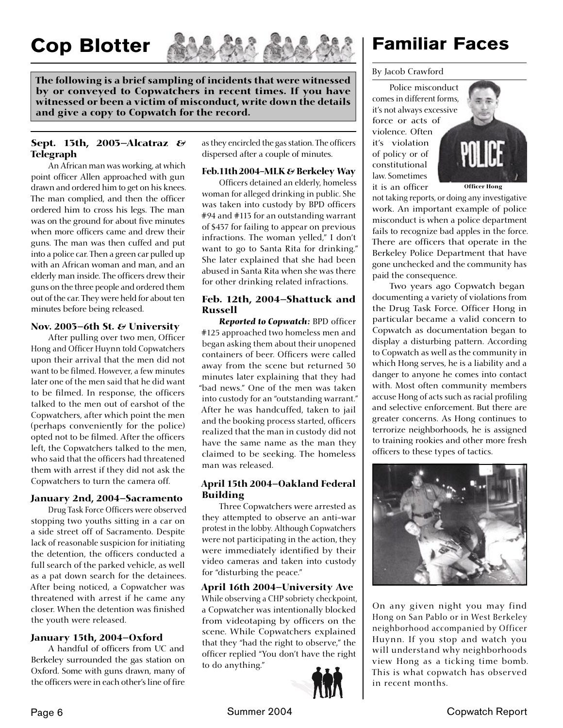# Cop Blotter



The following is a brief sampling of incidents that were witnessed by or conveyed to Copwatchers in recent times. If you have witnessed or been a victim of misconduct, write down the details and give a copy to Copwatch for the record.

#### Sept. 13th, 2003–Alcatraz  $\mathcal{E}$ Telegraph

 An African man was working, at which point officer Allen approached with gun drawn and ordered him to get on his knees. The man complied, and then the officer ordered him to cross his legs. The man was on the ground for about five minutes when more officers came and drew their guns. The man was then cuffed and put into a police car. Then a green car pulled up with an African woman and man, and an elderly man inside. The officers drew their guns on the three people and ordered them out of the car. They were held for about ten minutes before being released.

#### Nov. 2003–6th St. & University

After pulling over two men, Officer Hong and Officer Huynn told Copwatchers upon their arrival that the men did not want to be filmed. However, a few minutes later one of the men said that he did want to be filmed. In response, the officers talked to the men out of earshot of the Copwatchers, after which point the men (perhaps conveniently for the police) opted not to be filmed. After the officers left, the Copwatchers talked to the men, who said that the officers had threatened them with arrest if they did not ask the Copwatchers to turn the camera off.

#### January 2nd, 2004–Sacramento

Drug Task Force Officers were observed stopping two youths sitting in a car on a side street off of Sacramento. Despite lack of reasonable suspicion for initiating the detention, the officers conducted a full search of the parked vehicle, as well as a pat down search for the detainees. After being noticed, a Copwatcher was threatened with arrest if he came any closer. When the detention was finished the youth were released.

#### January 15th, 2004–Oxford

A handful of officers from UC and Berkeley surrounded the gas station on Oxford. Some with guns drawn, many of the officers were in each other's line of fire

as they encircled the gas station. The officers dispersed after a couple of minutes.

#### Feb. 11th 2004-MLK  $\varepsilon$  Berkeley Way

Officers detained an elderly, homeless woman for alleged drinking in public. She was taken into custody by BPD officers #94 and #113 for an outstanding warrant of \$437 for failing to appear on previous infractions. The woman yelled," I don't want to go to Santa Rita for drinking." She later explained that she had been abused in Santa Rita when she was there for other drinking related infractions.

#### Feb. 12th, 2004–Shattuck and Russell

**Reported to Copwatch: BPD officer** #125 approached two homeless men and began asking them about their unopened containers of beer. Officers were called away from the scene but returned 30 minutes later explaining that they had "bad news." One of the men was taken into custody for an "outstanding warrant." After he was handcuffed, taken to jail and the booking process started, officers realized that the man in custody did not have the same name as the man they claimed to be seeking. The homeless man was released.

#### April 15th 2004–Oakland Federal Building

 Three Copwatchers were arrested as they attempted to observe an anti-war protest in the lobby. Although Copwatchers were not participating in the action, they were immediately identified by their video cameras and taken into custody for "disturbing the peace."

#### April 16th 2004–University Ave

While observing a CHP sobriety checkpoint, a Copwatcher was intentionally blocked from videotaping by officers on the scene. While Copwatchers explained that they "had the right to observe," the officer replied "You don't have the right to do anything."



### Familiar Faces

#### By Jacob Crawford

 Police misconduct comes in different forms, it's not always excessive force or acts of violence. Often it's violation of policy or of constitutional law. Sometimes it is an officer



not taking reports, or doing any investigative work. An important example of police misconduct is when a police department fails to recognize bad apples in the force. There are officers that operate in the Berkeley Police Department that have gone unchecked and the community has paid the consequence.

 Two years ago Copwatch began documenting a variety of violations from the Drug Task Force. Officer Hong in particular became a valid concern to Copwatch as documentation began to display a disturbing pattern. According to Copwatch as well as the community in which Hong serves, he is a liability and a danger to anyone he comes into contact with. Most often community members accuse Hong of acts such as racial profiling and selective enforcement. But there are greater concerns. As Hong continues to terrorize neighborhoods, he is assigned to training rookies and other more fresh officers to these types of tactics.



On any given night you may find Hong on San Pablo or in West Berkeley neighborhood accompanied by Officer Huynn. If you stop and watch you will understand why neighborhoods view Hong as a ticking time bomb. This is what copwatch has observed in recent months.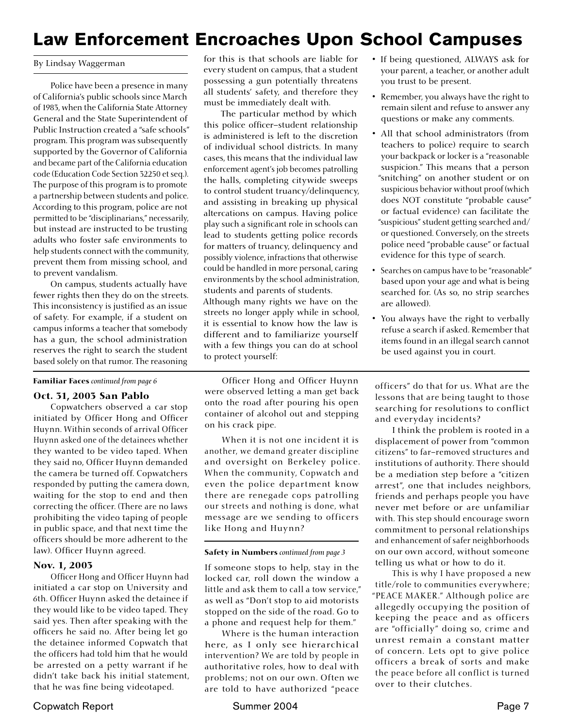# Law Enforcement Encroaches Upon School Campuses

#### By Lindsay Waggerman

 Police have been a presence in many of California's public schools since March of 1983, when the California State Attorney General and the State Superintendent of Public Instruction created a "safe schools" program. This program was subsequently supported by the Governor of California and became part of the California education code (Education Code Section 32250 et seq.). The purpose of this program is to promote a partnership between students and police. According to this program, police are not permitted to be "disciplinarians," necessarily, but instead are instructed to be trusting adults who foster safe environments to help students connect with the community, prevent them from missing school, and to prevent vandalism.

 On campus, students actually have fewer rights then they do on the streets. This inconsistency is justified as an issue of safety. For example, if a student on campus informs a teacher that somebody has a gun, the school administration reserves the right to search the student based solely on that rumor. The reasoning

#### Familiar Faces *continued from page 6*

#### Oct. 31, 2003 San Pablo

 Copwatchers observed a car stop initiated by Officer Hong and Officer Huynn. Within seconds of arrival Officer Huynn asked one of the detainees whether they wanted to be video taped. When they said no, Officer Huynn demanded the camera be turned off. Copwatchers responded by putting the camera down, waiting for the stop to end and then correcting the officer. (There are no laws prohibiting the video taping of people in public space, and that next time the officers should be more adherent to the law). Officer Huynn agreed.

#### Nov. 1, 2003

 Officer Hong and Officer Huynn had initiated a car stop on University and 6th. Officer Huynn asked the detainee if they would like to be video taped. They said yes. Then after speaking with the officers he said no. After being let go the detainee informed Copwatch that the officers had told him that he would be arrested on a petty warrant if he didn't take back his initial statement, that he was fine being videotaped.

for this is that schools are liable for every student on campus, that a student possessing a gun potentially threatens all students' safety, and therefore they must be immediately dealt with.

 The particular method by which this police officer–student relationship is administered is left to the discretion of individual school districts. In many cases, this means that the individual law enforcement agent's job becomes patrolling the halls, completing citywide sweeps to control student truancy/delinquency, and assisting in breaking up physical altercations on campus. Having police play such a significant role in schools can lead to students getting police records for matters of truancy, delinquency and possibly violence, infractions that otherwise could be handled in more personal, caring environments by the school administration, students and parents of students. Although many rights we have on the streets no longer apply while in school, it is essential to know how the law is different and to familiarize yourself with a few things you can do at school to protect yourself:

 Officer Hong and Officer Huynn were observed letting a man get back onto the road after pouring his open container of alcohol out and stepping on his crack pipe.

 When it is not one incident it is another, we demand greater discipline and oversight on Berkeley police. When the community, Copwatch and even the police department know there are renegade cops patrolling our streets and nothing is done, what message are we sending to officers like Hong and Huynn?

#### Safety in Numbers *continued from page 3*

If someone stops to help, stay in the locked car, roll down the window a little and ask them to call a tow service," as well as "Don't stop to aid motorists stopped on the side of the road. Go to a phone and request help for them."

 Where is the human interaction here, as I only see hierarchical intervention? We are told by people in authoritative roles, how to deal with problems; not on our own. Often we are told to have authorized "peace

- If being questioned, ALWAYS ask for your parent, a teacher, or another adult you trust to be present.
- Remember, you always have the right to remain silent and refuse to answer any questions or make any comments.
- All that school administrators (from teachers to police) require to search your backpack or locker is a "reasonable suspicion." This means that a person "snitching" on another student or on suspicious behavior without proof (which does NOT constitute "probable cause" or factual evidence) can facilitate the "suspicious" student getting searched and/ or questioned. Conversely, on the streets police need "probable cause" or factual evidence for this type of search.
- Searches on campus have to be "reasonable" based upon your age and what is being searched for. (As so, no strip searches are allowed).
- You always have the right to verbally refuse a search if asked. Remember that items found in an illegal search cannot be used against you in court.

officers" do that for us. What are the lessons that are being taught to those searching for resolutions to conflict and everyday incidents?

 I think the problem is rooted in a displacement of power from "common citizens" to far–removed structures and institutions of authority. There should be a mediation step before a "citizen arrest", one that includes neighbors, friends and perhaps people you have never met before or are unfamiliar with. This step should encourage sworn commitment to personal relationships and enhancement of safer neighborhoods on our own accord, without someone telling us what or how to do it.

 This is why I have proposed a new title/role to communities everywhere; "PEACE MAKER." Although police are allegedly occupying the position of keeping the peace and as officers are "officially" doing so, crime and unrest remain a constant matter of concern. Lets opt to give police officers a break of sorts and make the peace before all conflict is turned over to their clutches.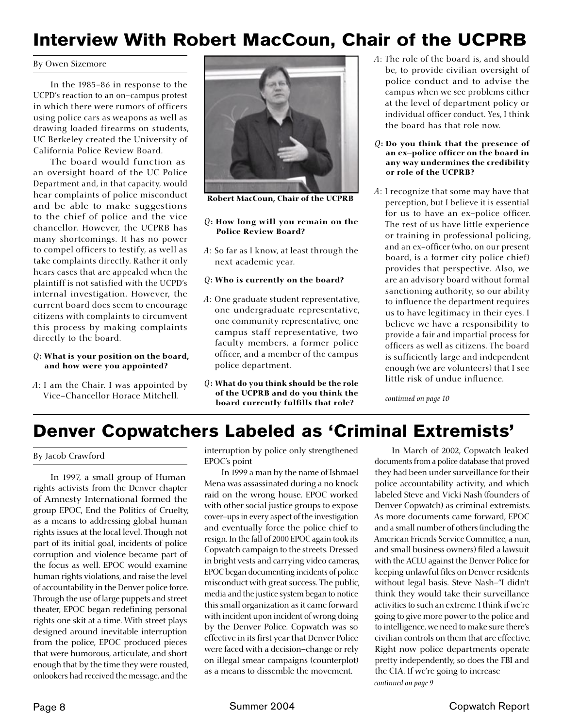### Interview With Robert MacCoun, Chair of the UCPRB

#### By Owen Sizemore

 In the 1985-86 in response to the UCPD's reaction to an on–campus protest in which there were rumors of officers using police cars as weapons as well as drawing loaded firearms on students, UC Berkeley created the University of California Police Review Board.

 The board would function as an oversight board of the UC Police Department and, in that capacity, would hear complaints of police misconduct and be able to make suggestions to the chief of police and the vice chancellor. However, the UCPRB has many shortcomings. It has no power to compel officers to testify, as well as take complaints directly. Rather it only hears cases that are appealed when the plaintiff is not satisfied with the UCPD's internal investigation. However, the current board does seem to encourage citizens with complaints to circumvent this process by making complaints directly to the board.

#### *Q*: What is your position on the board, and how were you appointed?

*A*: I am the Chair. I was appointed by Vice–Chancellor Horace Mitchell.



Robert MacCoun, Chair of the UCPRB

#### *Q*: How long will you remain on the Police Review Board?

*A*: So far as I know, at least through the next academic year.

#### *Q*: Who is currently on the board?

- *A*: One graduate student representative, one undergraduate representative, one community representative, one campus staff representative, two faculty members, a former police officer, and a member of the campus police department.
- *Q*: What do you think should be the role of the UCPRB and do you think the board currently fulfills that role?
- *A*: The role of the board is, and should be, to provide civilian oversight of police conduct and to advise the campus when we see problems either at the level of department policy or individual officer conduct. Yes, I think the board has that role now.
- *Q*: Do you think that the presence of an ex-police officer on the board in any way undermines the credibility or role of the UCPRB?
- *A*: I recognize that some may have that perception, but I believe it is essential for us to have an ex-police officer. The rest of us have little experience or training in professional policing, and an ex-officer (who, on our present board, is a former city police chief) provides that perspective. Also, we are an advisory board without formal sanctioning authority, so our ability to influence the department requires us to have legitimacy in their eyes. I believe we have a responsibility to provide a fair and impartial process for officers as well as citizens. The board is sufficiently large and independent enough (we are volunteers) that I see little risk of undue influence.

 *continued on page 10*

# Denver Copwatchers Labeled as 'Criminal Extremists'

By Jacob Crawford

 In 1997, a small group of Human rights activists from the Denver chapter of Amnesty International formed the group EPOC, End the Politics of Cruelty, as a means to addressing global human rights issues at the local level. Though not part of its initial goal, incidents of police corruption and violence became part of the focus as well. EPOC would examine human rights violations, and raise the level of accountability in the Denver police force. Through the use of large puppets and street theater, EPOC began redefining personal rights one skit at a time. With street plays designed around inevitable interruption from the police, EPOC produced pieces that were humorous, articulate, and short enough that by the time they were rousted, onlookers had received the message, and the

interruption by police only strengthened EPOC's point

 In 1999 a man by the name of Ishmael Mena was assassinated during a no knock raid on the wrong house. EPOC worked with other social justice groups to expose cover–ups in every aspect of the investigation and eventually force the police chief to resign. In the fall of 2000 EPOC again took its Copwatch campaign to the streets. Dressed in bright vests and carrying video cameras, EPOC began documenting incidents of police misconduct with great success. The public, media and the justice system began to notice this small organization as it came forward with incident upon incident of wrong doing by the Denver Police. Copwatch was so effective in its first year that Denver Police were faced with a decision–change or rely on illegal smear campaigns (counterplot) as a means to dissemble the movement.

 In March of 2002, Copwatch leaked documents from a police database that proved they had been under surveillance for their police accountability activity, and which labeled Steve and Vicki Nash (founders of Denver Copwatch) as criminal extremists. As more documents came forward, EPOC and a small number of others (including the American Friends Service Committee, a nun, and small business owners) filed a lawsuit with the ACLU against the Denver Police for keeping unlawful files on Denver residents without legal basis. Steve Nash–"I didn't think they would take their surveillance activities to such an extreme. I think if we're going to give more power to the police and to intelligence, we need to make sure there's civilian controls on them that are effective. Right now police departments operate pretty independently, so does the FBI and the CIA. If we're going to increase *continued on page 9*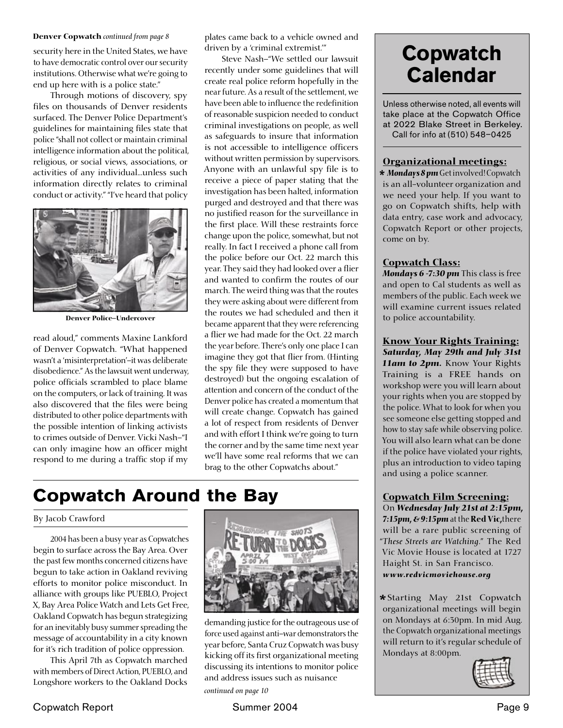#### Denver Copwatch *continued from page 8*

security here in the United States, we have to have democratic control over our security institutions. Otherwise what we're going to end up here with is a police state."

 Through motions of discovery, spy files on thousands of Denver residents surfaced. The Denver Police Department's guidelines for maintaining files state that police "shall not collect or maintain criminal intelligence information about the political, religious, or social views, associations, or activities of any individual...unless such information directly relates to criminal conduct or activity." "I've heard that policy



Denver Police–Undercover

read aloud," comments Maxine Lankford of Denver Copwatch. "What happened wasn't a 'misinterpretation'–it was deliberate disobedience." As the lawsuit went underway, police officials scrambled to place blame on the computers, or lack of training. It was also discovered that the files were being distributed to other police departments with the possible intention of linking activists to crimes outside of Denver. Vicki Nash–"I can only imagine how an officer might respond to me during a traffic stop if my

plates came back to a vehicle owned and driven by a 'criminal extremist.'"

 Steve Nash–"We settled our lawsuit recently under some guidelines that will create real police reform hopefully in the near future. As a result of the settlement, we have been able to influence the redefinition of reasonable suspicion needed to conduct criminal investigations on people, as well as safeguards to insure that information is not accessible to intelligence officers without written permission by supervisors. Anyone with an unlawful spy file is to receive a piece of paper stating that the investigation has been halted, information purged and destroyed and that there was no justified reason for the surveillance in the first place. Will these restraints force change upon the police, somewhat, but not really. In fact I received a phone call from the police before our Oct. 22 march this year. They said they had looked over a flier and wanted to confirm the routes of our march. The weird thing was that the routes they were asking about were different from the routes we had scheduled and then it became apparent that they were referencing a flier we had made for the Oct. 22 march the year before. There's only one place I can imagine they got that flier from. (Hinting the spy file they were supposed to have destroyed) but the ongoing escalation of attention and concern of the conduct of the Denver police has created a momentum that will create change. Copwatch has gained a lot of respect from residents of Denver and with effort I think we're going to turn the corner and by the same time next year we'll have some real reforms that we can brag to the other Copwatchs about."

### Copwatch Around the Bay

#### By Jacob Crawford

 2004 has been a busy year as Copwatches begin to surface across the Bay Area. Over the past few months concerned citizens have begun to take action in Oakland reviving efforts to monitor police misconduct. In alliance with groups like PUEBLO, Project X, Bay Area Police Watch and Lets Get Free, Oakland Copwatch has begun strategizing for an inevitably busy summer spreading the message of accountability in a city known for it's rich tradition of police oppression.

 This April 7th as Copwatch marched with members of Direct Action, PUEBLO, and Longshore workers to the Oakland Docks



demanding justice for the outrageous use of force used against anti–war demonstrators the year before, Santa Cruz Copwatch was busy kicking off its first organizational meeting discussing its intentions to monitor police and address issues such as nuisance

*continued on page 10*

# **Copwatch Calendar**

Unless otherwise noted, all events will take place at the Copwatch Office at 2022 Blake Street in Berkeley. Call for info at (510) 548–0425

#### Organizational meetings:

*\* Mondays 8 pm* Get involved! Copwatch is an all-volunteer organization and we need your help. If you want to go on Copwatch shifts, help with data entry, case work and advocacy, Copwatch Report or other projects, come on by.

#### Copwatch Class:

*Mondays 6 -7:30 pm* This class is free and open to Cal students as well as members of the public. Each week we will examine current issues related to police accountability.

Know Your Rights Training: *Saturday, May 29th and July 31st 11am to 2pm.* Know Your Rights Training is a FREE hands on workshop were you will learn about your rights when you are stopped by the police. What to look for when you see someone else getting stopped and how to stay safe while observing police. You will also learn what can be done if the police have violated your rights, plus an introduction to video taping and using a police scanner.

#### Copwatch Film Screening:

On *Wednesday July 21st at 2:15pm, 7:15pm, & 9:15pm* at the Red Vic,there will be a rare public screening of "*These Streets are Watching*." The Red Vic Movie House is located at 1727 Haight St. in San Francisco. *www.redvicmoviehouse.org*

*\** Starting May 21st Copwatch organizational meetings will begin on Mondays at 6:30pm. In mid Aug. the Copwatch organizational meetings will return to it's regular schedule of Mondays at 8:00pm.

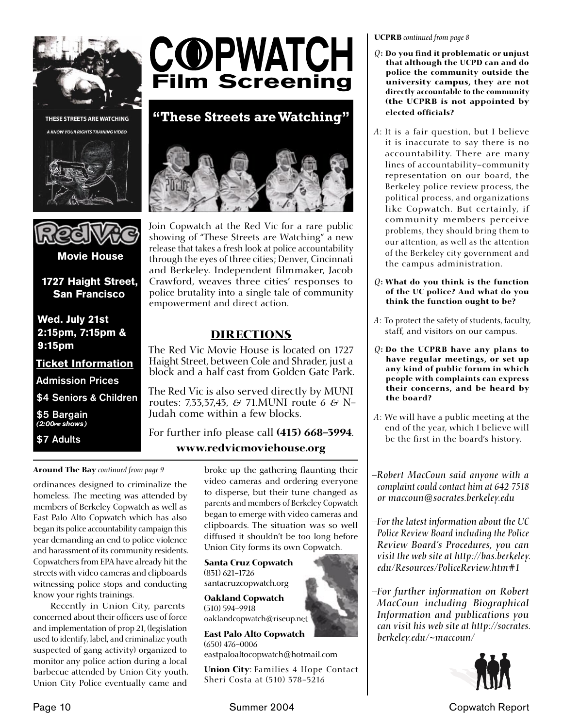

THESE STREETS ARE WATCHING





1727 Haight Street, San Francisco

Wed. July 21st 2:15pm, 7:15pm & 9:15pm

Ticket Information

Admission Prices

\$4 Seniors & Children

\$5 Bargain  $(2:00<sub>PM</sub> shows)$ 

\$7 Adults



**"These Streets are Watching"**



Join Copwatch at the Red Vic for a rare public showing of "These Streets are Watching" a new release that takes a fresh look at police accountability through the eyes of three cities; Denver, Cincinnati and Berkeley. Independent filmmaker, Jacob Crawford, weaves three cities' responses to police brutality into a single tale of community empowerment and direct action.

### DIRECTIONS

The Red Vic Movie House is located on 1727 Haight Street, between Cole and Shrader, just a block and a half east from Golden Gate Park.

The Red Vic is also served directly by MUNI routes: 7,33,37,43, & 71.MUNI route 6 & N-Judah come within a few blocks.

For further info please call (415) 668-3994. www.redvicmoviehouse.org

Around The Bay *continued from page 9*

ordinances designed to criminalize the homeless. The meeting was attended by members of Berkeley Copwatch as well as East Palo Alto Copwatch which has also began its police accountability campaign this year demanding an end to police violence and harassment of its community residents. Copwatchers from EPA have already hit the streets with video cameras and clipboards witnessing police stops and conducting know your rights trainings. East Palo Alto Movie House

 Recently in Union City, parents concerned about their officers use of force and implementation of prop 21, (legislation used to identify, label, and criminalize youth suspected of gang activity) organized to monitor any police action during a local barbecue attended by Union City youth. Union City Police eventually came and

broke up the gathering flaunting their video cameras and ordering everyone to disperse, but their tune changed as parents and members of Berkeley Copwatch began to emerge with video cameras and clipboards. The situation was so well diffused it shouldn't be too long before Union City forms its own Copwatch.

Santa Cruz Copwatch (831) 621-1726 santacruzcopwatch.org

Oakland Copwatch (510) 594-9918

oaklandcopwatch@riseup.net

East Palo Alto Copwatch (650) 476-0006 eastpaloaltocopwatch@hotmail.com

Union City: Families 4 Hope Contact Sheri Costa at (510) 378-5216

UCPRB *continued from page 8*

- $Q$ : Do you find it problematic or unjust that although the UCPD can and do police the community outside the university campus, they are not directly accountable to the community (the UCPRB is not appointed by elected officials?
- *A*: It is a fair question, but I believe it is inaccurate to say there is no accountability. There are many lines of accountability–community representation on our board, the Berkeley police review process, the political process, and organizations like Copwatch. But certainly, if community members perceive problems, they should bring them to our attention, as well as the attention of the Berkeley city government and the campus administration.
- *Q*: What do you think is the function of the UC police? And what do you think the function ought to be?
- *A*: To protect the safety of students, faculty, staff, and visitors on our campus.
- *Q*: Do the UCPRB have any plans to have regular meetings, or set up any kind of public forum in which people with complaints can express their concerns, and be heard by the board?
- *A*: We will have a public meeting at the end of the year, which I believe will be the first in the board's history.

*– Robert MacCoun said anyone with a complaint could contact him at 642-7518 or maccoun@socrates.berkeley.edu*

*– For the latest information about the UC Police Review Board including the Police Review Board's Procedures, you can visit the web site at http://bas.berkeley. edu/Resources/PoliceReview.htm#1*

*– For further information on Robert MacCoun including Biographical Information and publications you can visit his web site at http://socrates. berkeley.edu/~maccoun/*



Page 10 Summer 2004 Copwatch Report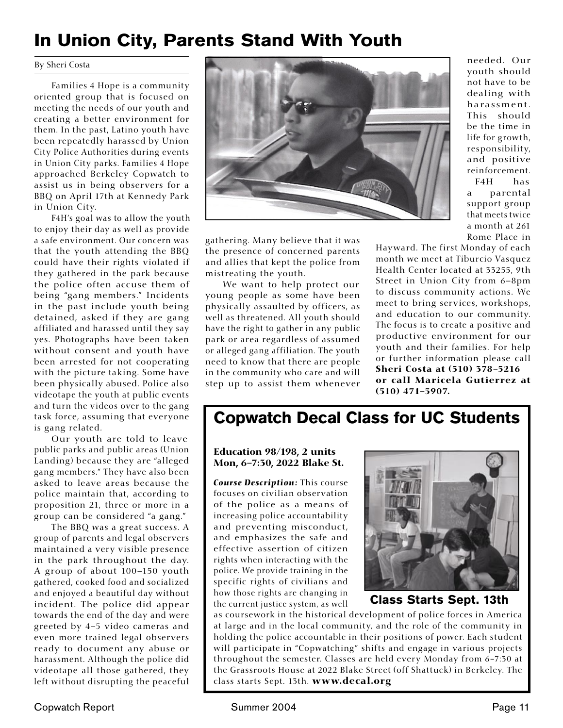## In Union City, Parents Stand With Youth

#### By Sheri Costa

 Families 4 Hope is a community oriented group that is focused on meeting the needs of our youth and creating a better environment for them. In the past, Latino youth have been repeatedly harassed by Union City Police Authorities during events in Union City parks. Families 4 Hope approached Berkeley Copwatch to assist us in being observers for a BBQ on April 17th at Kennedy Park in Union City.

 F4H's goal was to allow the youth to enjoy their day as well as provide a safe environment. Our concern was that the youth attending the BBQ could have their rights violated if they gathered in the park because the police often accuse them of being "gang members." Incidents in the past include youth being detained, asked if they are gang affiliated and harassed until they say yes. Photographs have been taken without consent and youth have been arrested for not cooperating with the picture taking. Some have been physically abused. Police also videotape the youth at public events and turn the videos over to the gang task force, assuming that everyone is gang related.

 Our youth are told to leave public parks and public areas (Union Landing) because they are "alleged gang members." They have also been asked to leave areas because the police maintain that, according to proposition 21, three or more in a group can be considered "a gang."

 The BBQ was a great success. A group of parents and legal observers maintained a very visible presence in the park throughout the day. A group of about 100–150 youth gathered, cooked food and socialized and enjoyed a beautiful day without incident. The police did appear towards the end of the day and were greeted by 4–5 video cameras and even more trained legal observers ready to document any abuse or harassment. Although the police did videotape all those gathered, they left without disrupting the peaceful



gathering. Many believe that it was the presence of concerned parents and allies that kept the police from mistreating the youth.

 We want to help protect our young people as some have been physically assaulted by officers, as well as threatened. All youth should have the right to gather in any public park or area regardless of assumed or alleged gang affiliation. The youth need to know that there are people in the community who care and will step up to assist them whenever needed. Our youth should not have to be dealing with harassment. This should be the time in life for growth, responsibility, and positive reinforcement.

 F4H has a parental support group that meets twice a month at 261 Rome Place in

Hayward. The first Monday of each month we meet at Tiburcio Vasquez Health Center located at 33255, 9th Street in Union City from 6–8pm to discuss community actions. We meet to bring services, workshops, and education to our community. The focus is to create a positive and productive environment for our youth and their families. For help or further information please call Sheri Costa at (510) 378-5216 or call Maricela Gutierrez at (510) 471-5907.

### Copwatch Decal Class for UC Students

Education 98/198, 2 units Mon, 6-7:30, 2022 Blake St.

*Course Description:* This course focuses on civilian observation of the police as a means of increasing police accountability and preventing misconduct, and emphasizes the safe and effective assertion of citizen rights when interacting with the police. We provide training in the specific rights of civilians and how those rights are changing in the current justice system, as well



Class Starts Sept. 13th

as coursework in the historical development of police forces in America at large and in the local community, and the role of the community in holding the police accountable in their positions of power. Each student will participate in "Copwatching" shifts and engage in various projects throughout the semester. Classes are held every Monday from 6-7:30 at the Grassroots House at 2022 Blake Street (off Shattuck) in Berkeley. The class starts Sept. 13th. www.decal.org